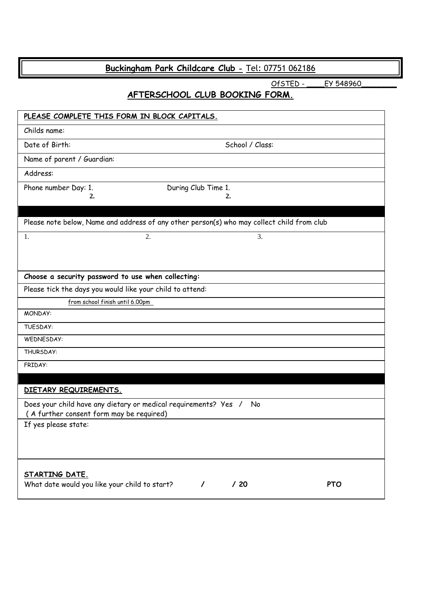# **Buckingham Park Childcare Club -** [Tel: 0](tel:07557)7751 062186

OfSTED - \_\_\_\_\_\_ EY 548960

## **AFTERSCHOOL CLUB BOOKING FORM.**

| PLEASE COMPLETE THIS FORM IN BLOCK CAPITALS.                                                                |            |
|-------------------------------------------------------------------------------------------------------------|------------|
| Childs name:                                                                                                |            |
| Date of Birth:<br>School / Class:                                                                           |            |
| Name of parent / Guardian:                                                                                  |            |
| Address:                                                                                                    |            |
| Phone number Day: 1.<br>During Club Time 1.                                                                 |            |
| 2.<br>2.                                                                                                    |            |
| Please note below, Name and address of any other person(s) who may collect child from club                  |            |
| 1.<br>2.                                                                                                    | 3.         |
|                                                                                                             |            |
|                                                                                                             |            |
| Choose a security password to use when collecting:                                                          |            |
| Please tick the days you would like your child to attend:                                                   |            |
| from school finish until 6.00pm                                                                             |            |
| MONDAY:                                                                                                     |            |
| TUESDAY:                                                                                                    |            |
| WEDNESDAY:                                                                                                  |            |
| THURSDAY:                                                                                                   |            |
| FRIDAY:                                                                                                     |            |
|                                                                                                             |            |
| DIETARY REQUIREMENTS.                                                                                       |            |
| Does your child have any dietary or medical requirements? Yes /<br>(A further consent form may be required) | No         |
| If yes please state:                                                                                        |            |
|                                                                                                             |            |
|                                                                                                             |            |
| STARTING DATE.                                                                                              |            |
| What date would you like your child to start?<br>/20<br>$\prime$                                            | <b>PTO</b> |